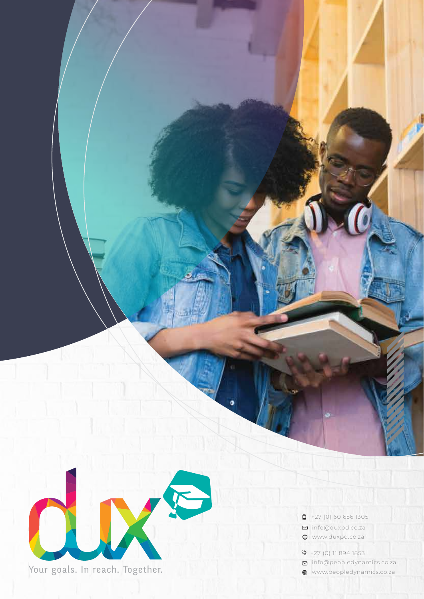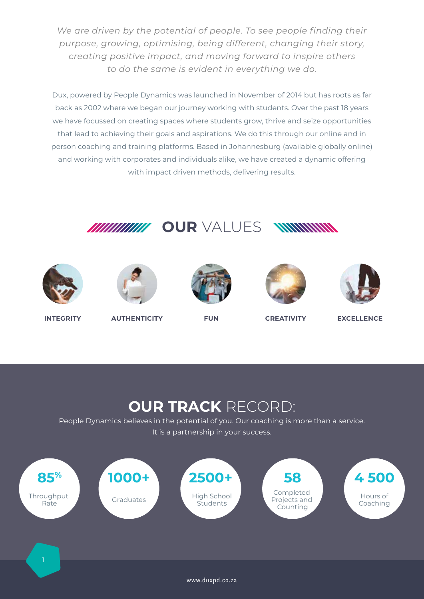*We are driven by the potential of people. To see people finding their purpose, growing, optimising, being different, changing their story, creating positive impact, and moving forward to inspire others to do the same is evident in everything we do.*

Dux, powered by People Dynamics was launched in November of 2014 but has roots as far back as 2002 where we began our journey working with students. Over the past 18 years we have focussed on creating spaces where students grow, thrive and seize opportunities that lead to achieving their goals and aspirations. We do this through our online and in person coaching and training platforms. Based in Johannesburg (available globally online) and working with corporates and individuals alike, we have created a dynamic offering with impact driven methods, delivering results.













**INTEGRITY AUTHENTICITY FUN CREATIVITY EXCELLENCE**

## **OUR TRACK** RECORD:

People Dynamics believes in the potential of you. Our coaching is more than a service. It is a partnership in your success.

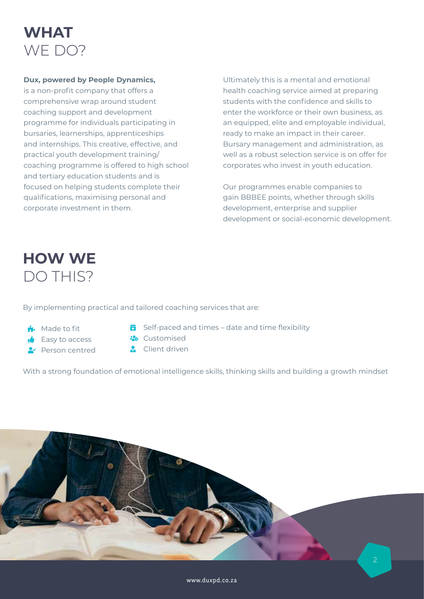

#### **Dux, powered by People Dynamics,**

is a non-profit company that offers a comprehensive wrap around student coaching support and development programme for individuals participating in bursaries, learnerships, apprenticeships and internships. This creative, effective, and practical youth development training/ coaching programme is offered to high school and tertiary education students and is focused on helping students complete their qualifications, maximising personal and corporate investment in them.

Ultimately this is a mental and emotional health coaching service aimed at preparing students with the confidence and skills to enter the workforce or their own business, as an equipped, elite and employable individual, ready to make an impact in their career. Bursary management and administration, as well as a robust selection service is on offer for corporates who invest in youth education.

Our programmes enable companies to gain BBBEE points, whether through skills development, enterprise and supplier development or social-economic development.

## **HOW WE** DO THIS?

By implementing practical and tailored coaching services that are:

- **Made to fit**
- $\triangle$  Fasy to access
- Person centred
- $\ddot{\bullet}$  Self-paced and times date and time flexibility
- **Customised**
- **Client driven**

With a strong foundation of emotional intelligence skills, thinking skills and building a growth mindset

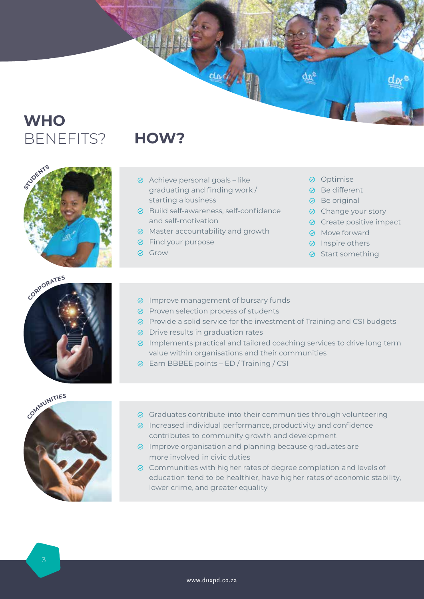## **WHO** BENEFITS? **HOW?**







- Achieve personal goals like graduating and finding work / starting a business
- **⊘** Build self-awareness, self-confidence and self-motivation
- **⊘** Master accountability and growth
- **⊘** Find your purpose
- **⊘** Grow
- **⊘** Optimise
- **⊘** Be different
- **⊘** Be original
- **⊘** Change your story
- **⊘** Create positive impact
- **⊘** Move forward
- $\odot$  Inspire others
- $\odot$  Start something
- **⊘** Improve management of bursary funds
- $\odot$  Proven selection process of students
- **⊘** Provide a solid service for the investment of Training and CSI budgets

 $1111$ 

- **⊘** Drive results in graduation rates
- **⊘** Implements practical and tailored coaching services to drive long term value within organisations and their communities
- Earn BBBEE points ED / Training / CSI
- **⊘** Graduates contribute into their communities through volunteering
- $\odot$  Increased individual performance, productivity and confidence contributes to community growth and development
- $\odot$  Improve organisation and planning because graduates are more involved in civic duties
- **⊘** Communities with higher rates of degree completion and levels of education tend to be healthier, have higher rates of economic stability, lower crime, and greater equality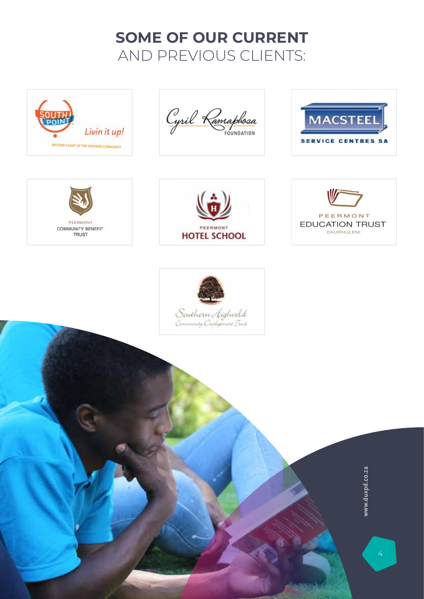## **SOME OF OUR CURRENT** AND PREVIOUS CLIENTS:



Cyril Ramaphosa











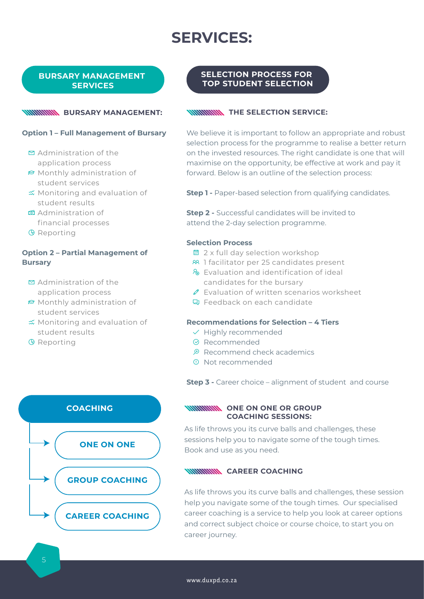## **SERVICES:**

#### **BURSARY MANAGEMENT SERVICES**

### **Option 1 – Full Management of Bursary**

- $\Xi$  Administration of the application process
- $\Theta$  Monthly administration of student services
- Monitoring and evaluation of student results
- Administration of financial processes
- $Q$  Reporting

#### **Option 2 – Partial Management of Bursary**

- $\Xi$  Administration of the application process
- Monthly administration of student services
- Monitoring and evaluation of student results
- $Q$  Reporting



#### **SELECTION PROCESS FOR TOP STUDENT SELECTION**

#### **WIRD BURSARY MANAGEMENT: WIRD THE SELECTION SERVICE:**

We believe it is important to follow an appropriate and robust selection process for the programme to realise a better return on the invested resources. The right candidate is one that will maximise on the opportunity, be effective at work and pay it forward. Below is an outline of the selection process:

**Step 1 -** Paper-based selection from qualifying candidates.

**Step 2 -** Successful candidates will be invited to attend the 2-day selection programme.

#### **Selection Process**

- 2 x full day selection workshop
- 88 1 facilitator per 25 candidates present
- **&** Evaluation and identification of ideal candidates for the bursary
- $\mathscr P$  Evaluation of written scenarios worksheet
- Feedback on each candidate

#### **Recommendations for Selection – 4 Tiers**

- $\checkmark$  Highly recommended
- **⊘** Recommended
- $\Theta$  Recommend check academics
- Not recommended

**Step 3 -** Career choice – alignment of student and course

#### **WINNINING ONE ON ONE OR GROUP COACHING SESSIONS:**

As life throws you its curve balls and challenges, these sessions help you to navigate some of the tough times. Book and use as you need.

#### **WINNINININININING**

As life throws you its curve balls and challenges, these session help you navigate some of the tough times. Our specialised career coaching is a service to help you look at career options and correct subject choice or course choice, to start you on career journey.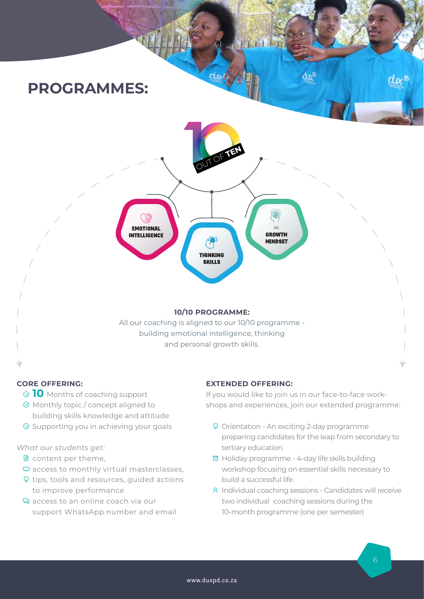

#### **CORE OFFERING:**

- **10** Months of coaching support
- $\odot$  Monthly topic / concept aligned to building skills knowledge and attitude
- $\odot$  Supporting you in achieving your goals

#### *What our students get:*

- ed content per theme.
- $\Box$  access to monthly virtual masterclasses.
- $\mathcal{D}$  tips, tools and resources, guided actions to improve performance
- access to an online coach via our support WhatsApp number and email

#### **EXTENDED OFFERING:**

If you would like to join us in our face-to-face workshops and experiences, join our extended programme:

- Orientation An exciting 2-day programme preparing candidates for the leap from secondary to tertiary education
- **<aday** programme 4-day life skills building workshop focusing on essential skills necessary to build a successful life.
- Individual coaching sessions Candidates will receive two individual coaching sessions during the 10-month programme (one per semester)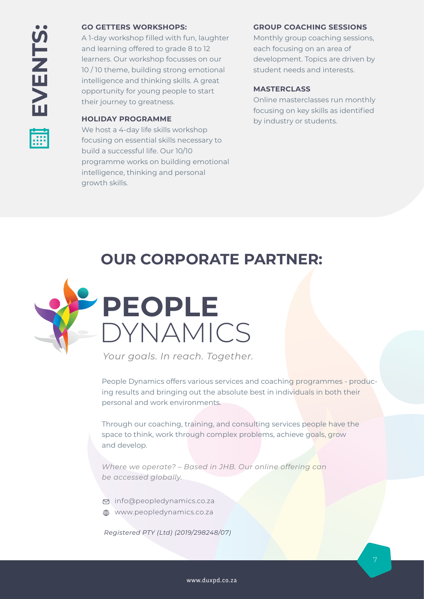#### **GO GETTERS WORKSHOPS:**

A 1-day workshop filled with fun, laughter and learning offered to grade 8 to 12 learners. Our workshop focusses on our 10 / 10 theme, building strong emotional intelligence and thinking skills. A great opportunity for young people to start their journey to greatness.

#### **HOLIDAY PROGRAMME**

We host a 4-day life skills workshop focusing on essential skills necessary to build a successful life. Our 10/10 programme works on building emotional intelligence, thinking and personal growth skills.

#### **GROUP COACHING SESSIONS**

Monthly group coaching sessions, each focusing on an area of development. Topics are driven by student needs and interests.

#### **MASTERCLASS**

Online masterclasses run monthly focusing on key skills as identified by industry or students.

## **OUR CORPORATE PARTNER:**



*Your goals. In reach. Together.*

People Dynamics offers various services and coaching programmes - producing results and bringing out the absolute best in individuals in both their personal and work environments.

Through our coaching, training, and consulting services people have the space to think, work through complex problems, achieve goals, grow and develop.

*Where we operate? – Based in JHB. Our online offering can be accessed globally.*

info@peopledynamics.co.za

www.peopledynamics.co.za

*Registered PTY (Ltd) (2019/298248/07)*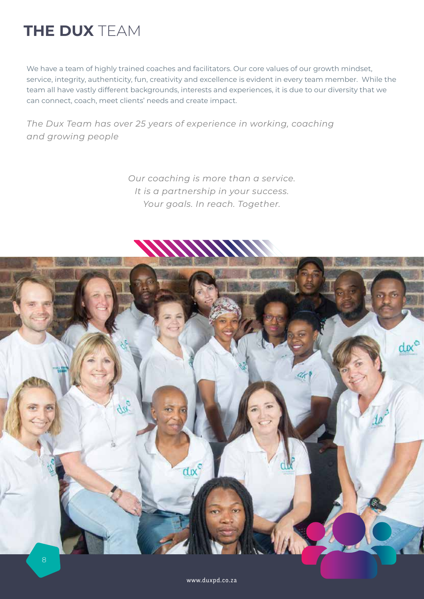## **THE DUX** TEAM

We have a team of highly trained coaches and facilitators. Our core values of our growth mindset, service, integrity, authenticity, fun, creativity and excellence is evident in every team member. While team all have vastly different backgrounds, interests and experiences, it is due to our diversity that we can connect, coach, meet clients' needs and create impact.

*The Dux Team has over 25 years of experience in working, coaching and growing people*

> *Our coaching is more than a service. It is a partnership in your success. Your goals. In reach. Together.*